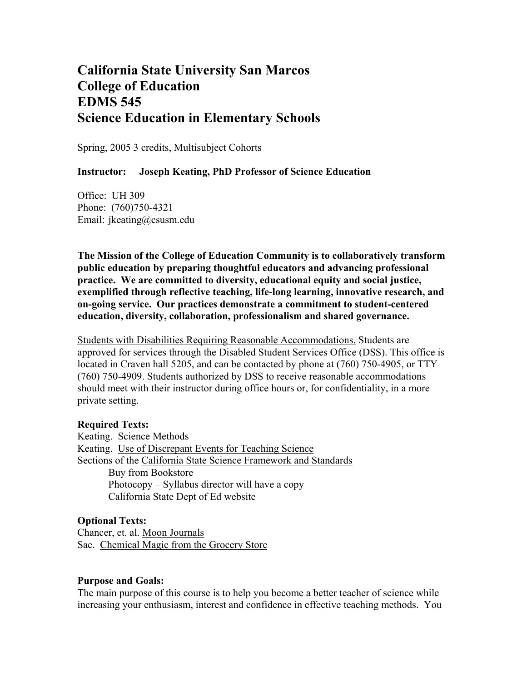# **California State University San Marcos College of Education EDMS 545 Science Education in Elementary Schools**

Spring, 2005 3 credits, Multisubject Cohorts

#### **Instructor: Joseph Keating, PhD Professor of Science Education**

Office: UH 309 Phone: (760)750-4321 Email: jkeating@csusm.edu

**The Mission of the College of Education Community is to collaboratively transform public education by preparing thoughtful educators and advancing professional practice. We are committed to diversity, educational equity and social justice, exemplified through reflective teaching, life-long learning, innovative research, and on-going service. Our practices demonstrate a commitment to student-centered education, diversity, collaboration, professionalism and shared governance.** 

Students with Disabilities Requiring Reasonable Accommodations. Students are approved for services through the Disabled Student Services Office (DSS). This office is located in Craven hall 5205, and can be contacted by phone at (760) 750-4905, or TTY (760) 750-4909. Students authorized by DSS to receive reasonable accommodations should meet with their instructor during office hours or, for confidentiality, in a more private setting.

#### **Required Texts:**

Keating. Science Methods Keating. Use of Discrepant Events for Teaching Science Sections of the California State Science Framework and Standards Buy from Bookstore Photocopy – Syllabus director will have a copy California State Dept of Ed website

#### **Optional Texts:**

Chancer, et. al. Moon Journals Sae. Chemical Magic from the Grocery Store

#### **Purpose and Goals:**

The main purpose of this course is to help you become a better teacher of science while increasing your enthusiasm, interest and confidence in effective teaching methods. You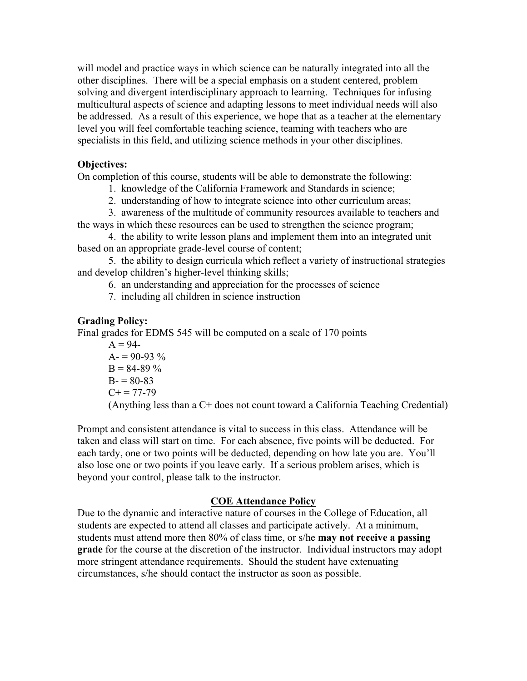will model and practice ways in which science can be naturally integrated into all the other disciplines. There will be a special emphasis on a student centered, problem solving and divergent interdisciplinary approach to learning. Techniques for infusing multicultural aspects of science and adapting lessons to meet individual needs will also be addressed. As a result of this experience, we hope that as a teacher at the elementary level you will feel comfortable teaching science, teaming with teachers who are specialists in this field, and utilizing science methods in your other disciplines.

### **Objectives:**

On completion of this course, students will be able to demonstrate the following:

1. knowledge of the California Framework and Standards in science;

2. understanding of how to integrate science into other curriculum areas;

 3. awareness of the multitude of community resources available to teachers and the ways in which these resources can be used to strengthen the science program;

 4. the ability to write lesson plans and implement them into an integrated unit based on an appropriate grade-level course of content;

 5. the ability to design curricula which reflect a variety of instructional strategies and develop children's higher-level thinking skills;

6. an understanding and appreciation for the processes of science

7. including all children in science instruction

# **Grading Policy:**

Final grades for EDMS 545 will be computed on a scale of 170 points

 $A = 94 A = 90-93\%$  $B = 84-89\%$  $B = 80-83$  $C+= 77-79$ (Anything less than a C+ does not count toward a California Teaching Credential)

Prompt and consistent attendance is vital to success in this class. Attendance will be taken and class will start on time. For each absence, five points will be deducted. For each tardy, one or two points will be deducted, depending on how late you are. You'll also lose one or two points if you leave early. If a serious problem arises, which is beyond your control, please talk to the instructor.

### **COE Attendance Policy**

Due to the dynamic and interactive nature of courses in the College of Education, all students are expected to attend all classes and participate actively. At a minimum, students must attend more then 80% of class time, or s/he **may not receive a passing grade** for the course at the discretion of the instructor. Individual instructors may adopt more stringent attendance requirements. Should the student have extenuating circumstances, s/he should contact the instructor as soon as possible.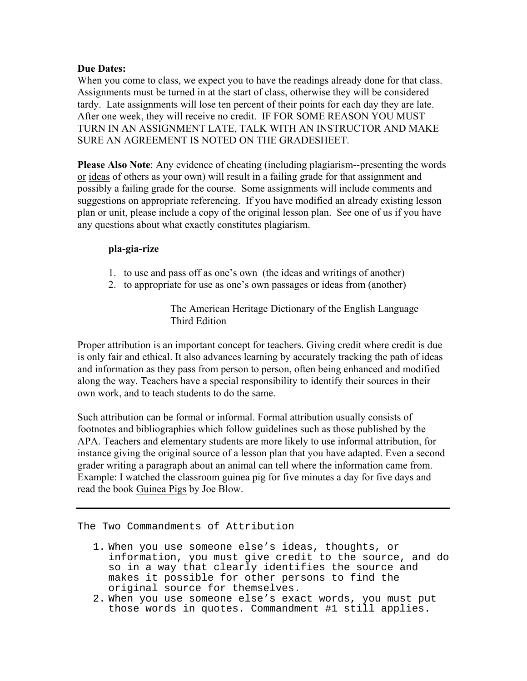#### **Due Dates:**

When you come to class, we expect you to have the readings already done for that class. Assignments must be turned in at the start of class, otherwise they will be considered tardy. Late assignments will lose ten percent of their points for each day they are late. After one week, they will receive no credit. IF FOR SOME REASON YOU MUST TURN IN AN ASSIGNMENT LATE, TALK WITH AN INSTRUCTOR AND MAKE SURE AN AGREEMENT IS NOTED ON THE GRADESHEET.

**Please Also Note**: Any evidence of cheating (including plagiarism--presenting the words or ideas of others as your own) will result in a failing grade for that assignment and possibly a failing grade for the course. Some assignments will include comments and suggestions on appropriate referencing. If you have modified an already existing lesson plan or unit, please include a copy of the original lesson plan. See one of us if you have any questions about what exactly constitutes plagiarism.

#### **pla-gia-rize**

- 1. to use and pass off as one's own (the ideas and writings of another)
- 2. to appropriate for use as one's own passages or ideas from (another)

The American Heritage Dictionary of the English Language Third Edition

Proper attribution is an important concept for teachers. Giving credit where credit is due is only fair and ethical. It also advances learning by accurately tracking the path of ideas and information as they pass from person to person, often being enhanced and modified along the way. Teachers have a special responsibility to identify their sources in their own work, and to teach students to do the same.

Such attribution can be formal or informal. Formal attribution usually consists of footnotes and bibliographies which follow guidelines such as those published by the APA. Teachers and elementary students are more likely to use informal attribution, for instance giving the original source of a lesson plan that you have adapted. Even a second grader writing a paragraph about an animal can tell where the information came from. Example: I watched the classroom guinea pig for five minutes a day for five days and read the book Guinea Pigs by Joe Blow.

The Two Commandments of Attribution

- 1. When you use someone else's ideas, thoughts, or information, you must give credit to the source, and do so in a way that clearly identifies the source and makes it possible for other persons to find the original source for themselves.
- 2. When you use someone else's exact words, you must put those words in quotes. Commandment #1 still applies.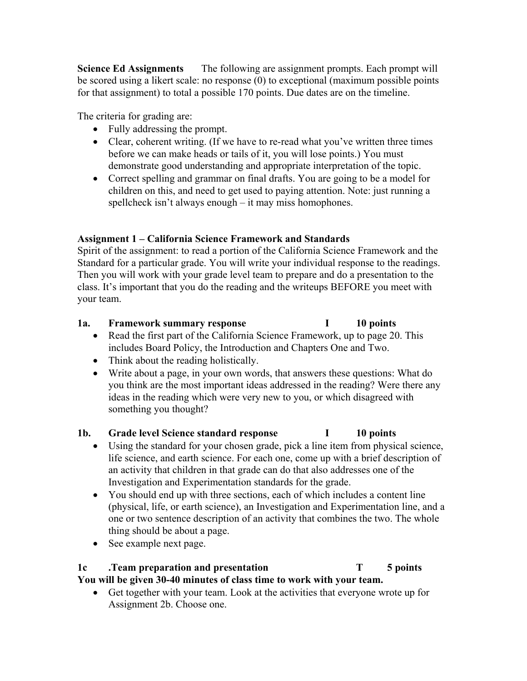**Science Ed Assignments** The following are assignment prompts. Each prompt will be scored using a likert scale: no response (0) to exceptional (maximum possible points for that assignment) to total a possible 170 points. Due dates are on the timeline.

The criteria for grading are:

- Fully addressing the prompt.
- Clear, coherent writing. (If we have to re-read what you've written three times before we can make heads or tails of it, you will lose points.) You must demonstrate good understanding and appropriate interpretation of the topic.
- Correct spelling and grammar on final drafts. You are going to be a model for children on this, and need to get used to paying attention. Note: just running a spellcheck isn't always enough – it may miss homophones.

# **Assignment 1 – California Science Framework and Standards**

Spirit of the assignment: to read a portion of the California Science Framework and the Standard for a particular grade. You will write your individual response to the readings. Then you will work with your grade level team to prepare and do a presentation to the class. It's important that you do the reading and the writeups BEFORE you meet with your team.

# **1a. Framework summary response I 10 points**

- Read the first part of the California Science Framework, up to page 20. This includes Board Policy, the Introduction and Chapters One and Two.
- Think about the reading holistically.
- Write about a page, in your own words, that answers these questions: What do you think are the most important ideas addressed in the reading? Were there any ideas in the reading which were very new to you, or which disagreed with something you thought?

# **1b. Grade level Science standard response I 10 points**

- Using the standard for your chosen grade, pick a line item from physical science, life science, and earth science. For each one, come up with a brief description of an activity that children in that grade can do that also addresses one of the Investigation and Experimentation standards for the grade.
- You should end up with three sections, each of which includes a content line (physical, life, or earth science), an Investigation and Experimentation line, and a one or two sentence description of an activity that combines the two. The whole thing should be about a page.
- See example next page.

# **1c .Team preparation and presentation T 5 points**

**You will be given 30-40 minutes of class time to work with your team.** 

• Get together with your team. Look at the activities that everyone wrote up for Assignment 2b. Choose one.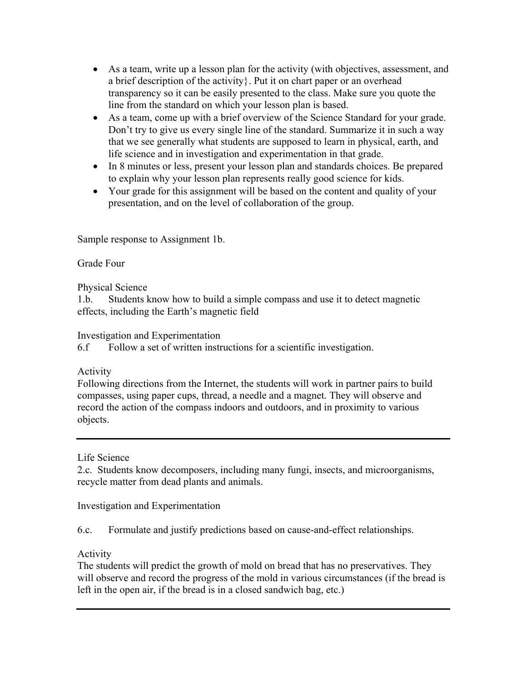- As a team, write up a lesson plan for the activity (with objectives, assessment, and a brief description of the activity}. Put it on chart paper or an overhead transparency so it can be easily presented to the class. Make sure you quote the line from the standard on which your lesson plan is based.
- As a team, come up with a brief overview of the Science Standard for your grade. Don't try to give us every single line of the standard. Summarize it in such a way that we see generally what students are supposed to learn in physical, earth, and life science and in investigation and experimentation in that grade.
- In 8 minutes or less, present your lesson plan and standards choices. Be prepared to explain why your lesson plan represents really good science for kids.
- Your grade for this assignment will be based on the content and quality of your presentation, and on the level of collaboration of the group.

Sample response to Assignment 1b.

# Grade Four

Physical Science

1.b. Students know how to build a simple compass and use it to detect magnetic effects, including the Earth's magnetic field

### Investigation and Experimentation

6.f Follow a set of written instructions for a scientific investigation.

# Activity

Following directions from the Internet, the students will work in partner pairs to build compasses, using paper cups, thread, a needle and a magnet. They will observe and record the action of the compass indoors and outdoors, and in proximity to various objects.

### Life Science

2.c. Students know decomposers, including many fungi, insects, and microorganisms, recycle matter from dead plants and animals.

Investigation and Experimentation

6.c. Formulate and justify predictions based on cause-and-effect relationships.

# Activity

The students will predict the growth of mold on bread that has no preservatives. They will observe and record the progress of the mold in various circumstances (if the bread is left in the open air, if the bread is in a closed sandwich bag, etc.)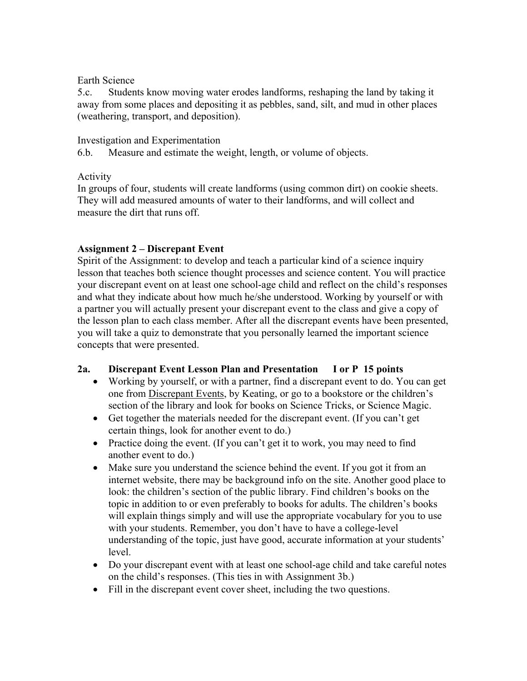### Earth Science

5.c. Students know moving water erodes landforms, reshaping the land by taking it away from some places and depositing it as pebbles, sand, silt, and mud in other places (weathering, transport, and deposition).

# Investigation and Experimentation

6.b. Measure and estimate the weight, length, or volume of objects.

# Activity

In groups of four, students will create landforms (using common dirt) on cookie sheets. They will add measured amounts of water to their landforms, and will collect and measure the dirt that runs off.

# **Assignment 2 – Discrepant Event**

Spirit of the Assignment: to develop and teach a particular kind of a science inquiry lesson that teaches both science thought processes and science content. You will practice your discrepant event on at least one school-age child and reflect on the child's responses and what they indicate about how much he/she understood. Working by yourself or with a partner you will actually present your discrepant event to the class and give a copy of the lesson plan to each class member. After all the discrepant events have been presented, you will take a quiz to demonstrate that you personally learned the important science concepts that were presented.

# **2a. Discrepant Event Lesson Plan and Presentation I or P 15 points**

- Working by yourself, or with a partner, find a discrepant event to do. You can get one from Discrepant Events, by Keating, or go to a bookstore or the children's section of the library and look for books on Science Tricks, or Science Magic.
- Get together the materials needed for the discrepant event. (If you can't get certain things, look for another event to do.)
- Practice doing the event. (If you can't get it to work, you may need to find another event to do.)
- Make sure you understand the science behind the event. If you got it from an internet website, there may be background info on the site. Another good place to look: the children's section of the public library. Find children's books on the topic in addition to or even preferably to books for adults. The children's books will explain things simply and will use the appropriate vocabulary for you to use with your students. Remember, you don't have to have a college-level understanding of the topic, just have good, accurate information at your students' level.
- Do your discrepant event with at least one school-age child and take careful notes on the child's responses. (This ties in with Assignment 3b.)
- Fill in the discrepant event cover sheet, including the two questions.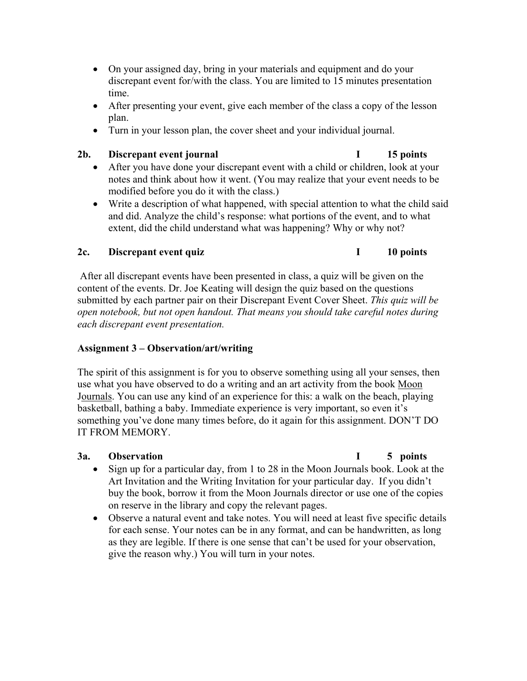- On your assigned day, bring in your materials and equipment and do your discrepant event for/with the class. You are limited to 15 minutes presentation time.
- After presenting your event, give each member of the class a copy of the lesson plan.
- Turn in your lesson plan, the cover sheet and your individual journal.

#### 2b. Discrepant event journal **I** 15 points

- After you have done your discrepant event with a child or children, look at your notes and think about how it went. (You may realize that your event needs to be modified before you do it with the class.)
- Write a description of what happened, with special attention to what the child said and did. Analyze the child's response: what portions of the event, and to what extent, did the child understand what was happening? Why or why not?

# 2c. Discrepant event quiz **I** 10 points

### After all discrepant events have been presented in class, a quiz will be given on the content of the events. Dr. Joe Keating will design the quiz based on the questions submitted by each partner pair on their Discrepant Event Cover Sheet. *This quiz will be open notebook, but not open handout. That means you should take careful notes during each discrepant event presentation.*

# **Assignment 3 – Observation/art/writing**

The spirit of this assignment is for you to observe something using all your senses, then use what you have observed to do a writing and an art activity from the book Moon Journals. You can use any kind of an experience for this: a walk on the beach, playing basketball, bathing a baby. Immediate experience is very important, so even it's something you've done many times before, do it again for this assignment. DON'T DO IT FROM MEMORY.

### **3a. Observation I 5 points**

- Sign up for a particular day, from 1 to 28 in the Moon Journals book. Look at the Art Invitation and the Writing Invitation for your particular day. If you didn't buy the book, borrow it from the Moon Journals director or use one of the copies on reserve in the library and copy the relevant pages.
- Observe a natural event and take notes. You will need at least five specific details for each sense. Your notes can be in any format, and can be handwritten, as long as they are legible. If there is one sense that can't be used for your observation, give the reason why.) You will turn in your notes.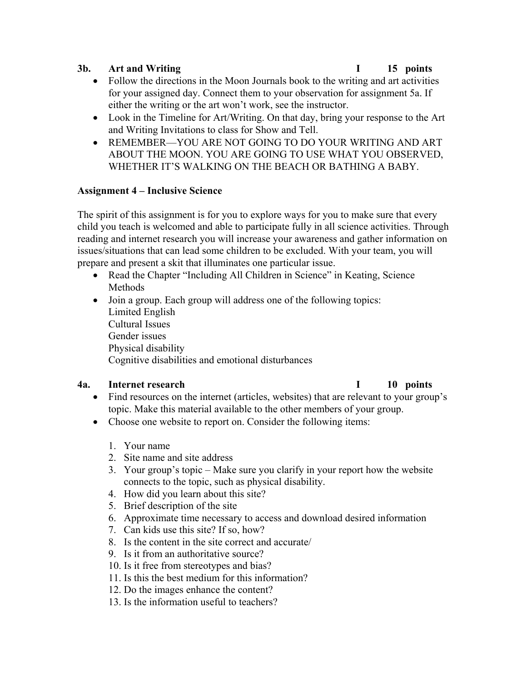#### **3b. Art and Writing I 15 points**

- Follow the directions in the Moon Journals book to the writing and art activities for your assigned day. Connect them to your observation for assignment 5a. If either the writing or the art won't work, see the instructor.
- Look in the Timeline for Art/Writing. On that day, bring your response to the Art and Writing Invitations to class for Show and Tell.
- REMEMBER—YOU ARE NOT GOING TO DO YOUR WRITING AND ART ABOUT THE MOON. YOU ARE GOING TO USE WHAT YOU OBSERVED, WHETHER IT'S WALKING ON THE BEACH OR BATHING A BABY.

### **Assignment 4 – Inclusive Science**

The spirit of this assignment is for you to explore ways for you to make sure that every child you teach is welcomed and able to participate fully in all science activities. Through reading and internet research you will increase your awareness and gather information on issues/situations that can lead some children to be excluded. With your team, you will prepare and present a skit that illuminates one particular issue.

- Read the Chapter "Including All Children in Science" in Keating, Science Methods
- Join a group. Each group will address one of the following topics: Limited English Cultural Issues Gender issues Physical disability Cognitive disabilities and emotional disturbances

### **4a. Internet research I 10 points**

- Find resources on the internet (articles, websites) that are relevant to your group's topic. Make this material available to the other members of your group.
- Choose one website to report on. Consider the following items:
	- 1. Your name
	- 2. Site name and site address
	- 3. Your group's topic Make sure you clarify in your report how the website connects to the topic, such as physical disability.
	- 4. How did you learn about this site?
	- 5. Brief description of the site
	- 6. Approximate time necessary to access and download desired information
	- 7. Can kids use this site? If so, how?
	- 8. Is the content in the site correct and accurate/
	- 9. Is it from an authoritative source?
	- 10. Is it free from stereotypes and bias?
	- 11. Is this the best medium for this information?
	- 12. Do the images enhance the content?
	- 13. Is the information useful to teachers?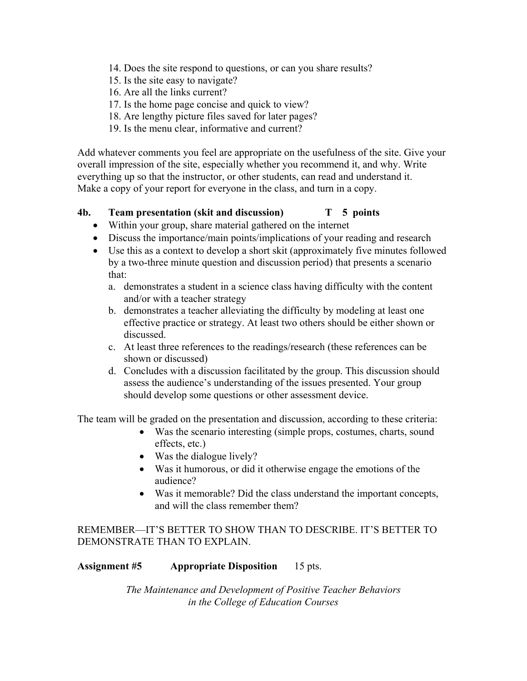- 14. Does the site respond to questions, or can you share results?
- 15. Is the site easy to navigate?
- 16. Are all the links current?
- 17. Is the home page concise and quick to view?
- 18. Are lengthy picture files saved for later pages?
- 19. Is the menu clear, informative and current?

Add whatever comments you feel are appropriate on the usefulness of the site. Give your overall impression of the site, especially whether you recommend it, and why. Write everything up so that the instructor, or other students, can read and understand it. Make a copy of your report for everyone in the class, and turn in a copy.

### **4b. Team presentation (skit and discussion) T 5 points**

- Within your group, share material gathered on the internet
- Discuss the importance/main points/implications of your reading and research
- Use this as a context to develop a short skit (approximately five minutes followed by a two-three minute question and discussion period) that presents a scenario that:
	- a. demonstrates a student in a science class having difficulty with the content and/or with a teacher strategy
	- b. demonstrates a teacher alleviating the difficulty by modeling at least one effective practice or strategy. At least two others should be either shown or discussed.
	- c. At least three references to the readings/research (these references can be shown or discussed)
	- d. Concludes with a discussion facilitated by the group. This discussion should assess the audience's understanding of the issues presented. Your group should develop some questions or other assessment device.

The team will be graded on the presentation and discussion, according to these criteria:

- Was the scenario interesting (simple props, costumes, charts, sound effects, etc.)
- Was the dialogue lively?
- Was it humorous, or did it otherwise engage the emotions of the audience?
- Was it memorable? Did the class understand the important concepts, and will the class remember them?

REMEMBER—IT'S BETTER TO SHOW THAN TO DESCRIBE. IT'S BETTER TO DEMONSTRATE THAN TO EXPLAIN.

### **Assignment #5 Appropriate Disposition** 15 pts.

*The Maintenance and Development of Positive Teacher Behaviors in the College of Education Courses*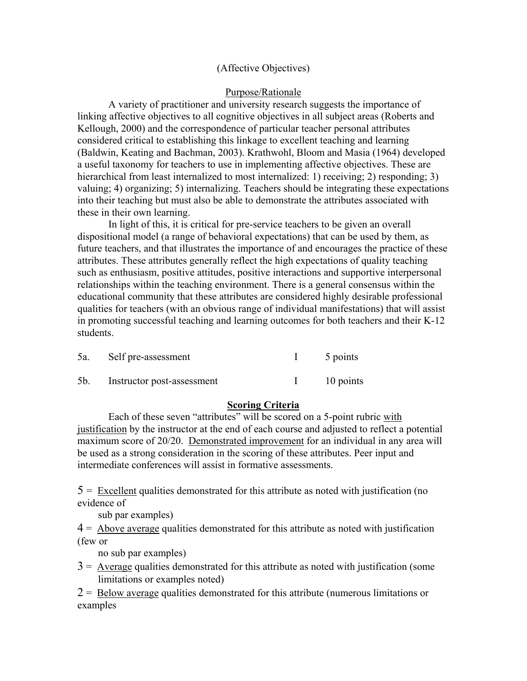#### (Affective Objectives)

#### Purpose/Rationale

A variety of practitioner and university research suggests the importance of linking affective objectives to all cognitive objectives in all subject areas (Roberts and Kellough, 2000) and the correspondence of particular teacher personal attributes considered critical to establishing this linkage to excellent teaching and learning (Baldwin, Keating and Bachman, 2003). Krathwohl, Bloom and Masia (1964) developed a useful taxonomy for teachers to use in implementing affective objectives. These are hierarchical from least internalized to most internalized: 1) receiving: 2) responding: 3) valuing; 4) organizing; 5) internalizing. Teachers should be integrating these expectations into their teaching but must also be able to demonstrate the attributes associated with these in their own learning.

In light of this, it is critical for pre-service teachers to be given an overall dispositional model (a range of behavioral expectations) that can be used by them, as future teachers, and that illustrates the importance of and encourages the practice of these attributes. These attributes generally reflect the high expectations of quality teaching such as enthusiasm, positive attitudes, positive interactions and supportive interpersonal relationships within the teaching environment. There is a general consensus within the educational community that these attributes are considered highly desirable professional qualities for teachers (with an obvious range of individual manifestations) that will assist in promoting successful teaching and learning outcomes for both teachers and their K-12 students.

| 5a. | Self pre-assessment            | 5 points  |
|-----|--------------------------------|-----------|
|     | 5b. Instructor post-assessment | 10 points |

#### **Scoring Criteria**

Each of these seven "attributes" will be scored on a 5-point rubric with justification by the instructor at the end of each course and adjusted to reflect a potential maximum score of 20/20. Demonstrated improvement for an individual in any area will be used as a strong consideration in the scoring of these attributes. Peer input and intermediate conferences will assist in formative assessments.

 $5 =$  Excellent qualities demonstrated for this attribute as noted with justification (no evidence of

sub par examples)

 $4 =$  Above average qualities demonstrated for this attribute as noted with justification (few or

no sub par examples)

 $3 =$  Average qualities demonstrated for this attribute as noted with justification (some limitations or examples noted)

 $2 =$  Below average qualities demonstrated for this attribute (numerous limitations or examples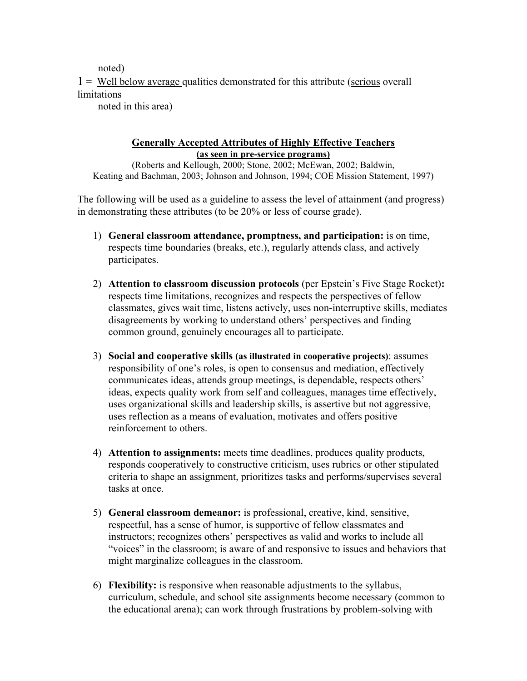noted)

 $1 =$  Well below average qualities demonstrated for this attribute (serious overall limitations

noted in this area)

#### **Generally Accepted Attributes of Highly Effective Teachers (as seen in pre-service programs)**

(Roberts and Kellough, 2000; Stone, 2002; McEwan, 2002; Baldwin, Keating and Bachman, 2003; Johnson and Johnson, 1994; COE Mission Statement, 1997)

The following will be used as a guideline to assess the level of attainment (and progress) in demonstrating these attributes (to be 20% or less of course grade).

- 1) **General classroom attendance, promptness, and participation:** is on time, respects time boundaries (breaks, etc.), regularly attends class, and actively participates.
- 2) **Attention to classroom discussion protocols** (per Epstein's Five Stage Rocket)**:** respects time limitations, recognizes and respects the perspectives of fellow classmates, gives wait time, listens actively, uses non-interruptive skills, mediates disagreements by working to understand others' perspectives and finding common ground, genuinely encourages all to participate.
- 3) **Social and cooperative skills (as illustrated in cooperative projects)**: assumes responsibility of one's roles, is open to consensus and mediation, effectively communicates ideas, attends group meetings, is dependable, respects others' ideas, expects quality work from self and colleagues, manages time effectively, uses organizational skills and leadership skills, is assertive but not aggressive, uses reflection as a means of evaluation, motivates and offers positive reinforcement to others.
- 4) **Attention to assignments:** meets time deadlines, produces quality products, responds cooperatively to constructive criticism, uses rubrics or other stipulated criteria to shape an assignment, prioritizes tasks and performs/supervises several tasks at once.
- 5) **General classroom demeanor:** is professional, creative, kind, sensitive, respectful, has a sense of humor, is supportive of fellow classmates and instructors; recognizes others' perspectives as valid and works to include all "voices" in the classroom; is aware of and responsive to issues and behaviors that might marginalize colleagues in the classroom.
- 6) **Flexibility:** is responsive when reasonable adjustments to the syllabus, curriculum, schedule, and school site assignments become necessary (common to the educational arena); can work through frustrations by problem-solving with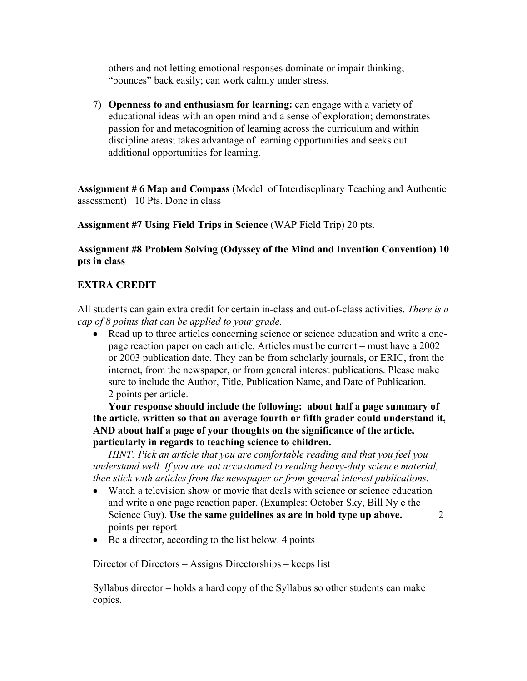others and not letting emotional responses dominate or impair thinking; "bounces" back easily; can work calmly under stress.

7) **Openness to and enthusiasm for learning:** can engage with a variety of educational ideas with an open mind and a sense of exploration; demonstrates passion for and metacognition of learning across the curriculum and within discipline areas; takes advantage of learning opportunities and seeks out additional opportunities for learning.

**Assignment # 6 Map and Compass** (Model of Interdiscplinary Teaching and Authentic assessment) 10 Pts. Done in class

**Assignment #7 Using Field Trips in Science** (WAP Field Trip) 20 pts.

### **Assignment #8 Problem Solving (Odyssey of the Mind and Invention Convention) 10 pts in class**

### **EXTRA CREDIT**

All students can gain extra credit for certain in-class and out-of-class activities. *There is a cap of 8 points that can be applied to your grade.*

• Read up to three articles concerning science or science education and write a onepage reaction paper on each article. Articles must be current – must have a 2002 or 2003 publication date. They can be from scholarly journals, or ERIC, from the internet, from the newspaper, or from general interest publications. Please make sure to include the Author, Title, Publication Name, and Date of Publication. 2 points per article.

**Your response should include the following: about half a page summary of the article, written so that an average fourth or fifth grader could understand it, AND about half a page of your thoughts on the significance of the article, particularly in regards to teaching science to children.** 

*HINT: Pick an article that you are comfortable reading and that you feel you understand well. If you are not accustomed to reading heavy-duty science material, then stick with articles from the newspaper or from general interest publications.* 

- Watch a television show or movie that deals with science or science education and write a one page reaction paper. (Examples: October Sky, Bill Ny e the Science Guy). **Use the same guidelines as are in bold type up above.** 2 points per report
- Be a director, according to the list below. 4 points

Director of Directors – Assigns Directorships – keeps list

Syllabus director – holds a hard copy of the Syllabus so other students can make copies.